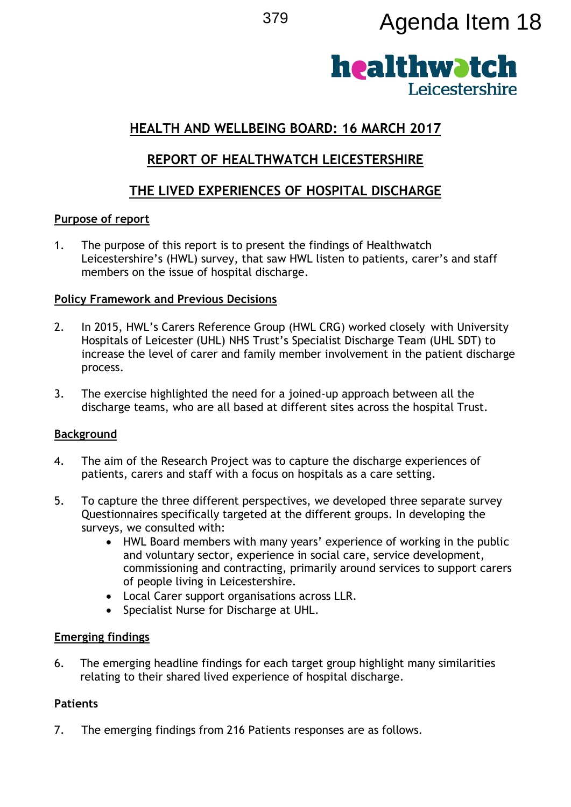# <sup>379</sup> Agenda Item 18



# **HEALTH AND WELLBEING BOARD: 16 MARCH 2017**

## **REPORT OF HEALTHWATCH LEICESTERSHIRE**

# **THE LIVED EXPERIENCES OF HOSPITAL DISCHARGE**

#### **Purpose of report**

1. The purpose of this report is to present the findings of Healthwatch Leicestershire's (HWL) survey, that saw HWL listen to patients, carer's and staff members on the issue of hospital discharge.

#### **Policy Framework and Previous Decisions**

- 2. In 2015, HWL's Carers Reference Group (HWL CRG) worked closely with University Hospitals of Leicester (UHL) NHS Trust's Specialist Discharge Team (UHL SDT) to increase the level of carer and family member involvement in the patient discharge process.
- 3. The exercise highlighted the need for a joined-up approach between all the discharge teams, who are all based at different sites across the hospital Trust.

## **Background**

- 4. The aim of the Research Project was to capture the discharge experiences of patients, carers and staff with a focus on hospitals as a care setting.
- 5. To capture the three different perspectives, we developed three separate survey Questionnaires specifically targeted at the different groups. In developing the surveys, we consulted with:
	- HWL Board members with many years' experience of working in the public and voluntary sector, experience in social care, service development, commissioning and contracting, primarily around services to support carers of people living in Leicestershire.
	- Local Carer support organisations across LLR.
	- Specialist Nurse for Discharge at UHL.

## **Emerging findings**

6. The emerging headline findings for each target group highlight many similarities relating to their shared lived experience of hospital discharge.

## **Patients**

7. The emerging findings from 216 Patients responses are as follows.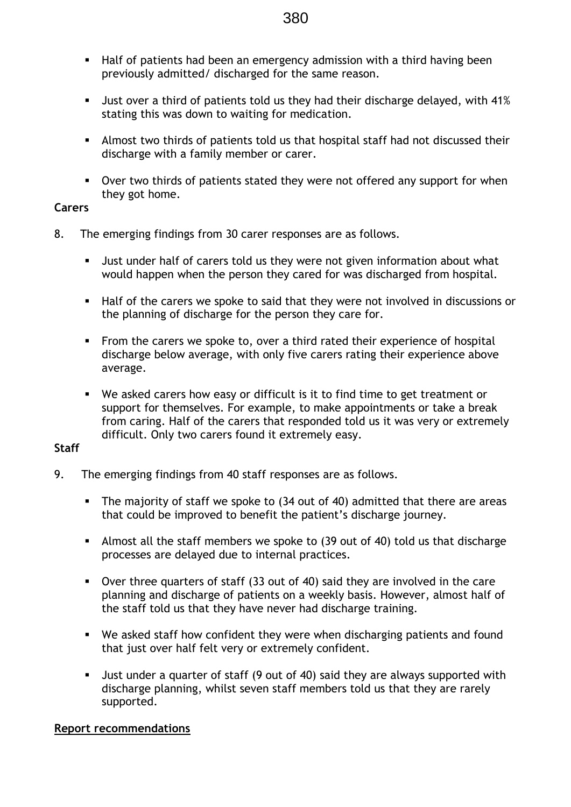- Half of patients had been an emergency admission with a third having been previously admitted/ discharged for the same reason.
- Just over a third of patients told us they had their discharge delayed, with 41% stating this was down to waiting for medication.
- Almost two thirds of patients told us that hospital staff had not discussed their discharge with a family member or carer.
- Over two thirds of patients stated they were not offered any support for when they got home.

#### **Carers**

- 8. The emerging findings from 30 carer responses are as follows.
	- Just under half of carers told us they were not given information about what would happen when the person they cared for was discharged from hospital.
	- Half of the carers we spoke to said that they were not involved in discussions or the planning of discharge for the person they care for.
	- **From the carers we spoke to, over a third rated their experience of hospital** discharge below average, with only five carers rating their experience above average.
	- We asked carers how easy or difficult is it to find time to get treatment or support for themselves. For example, to make appointments or take a break from caring. Half of the carers that responded told us it was very or extremely difficult. Only two carers found it extremely easy.

#### **Staff**

- 9. The emerging findings from 40 staff responses are as follows.
	- The majority of staff we spoke to (34 out of 40) admitted that there are areas that could be improved to benefit the patient's discharge journey.
	- Almost all the staff members we spoke to (39 out of 40) told us that discharge processes are delayed due to internal practices.
	- Over three quarters of staff (33 out of 40) said they are involved in the care planning and discharge of patients on a weekly basis. However, almost half of the staff told us that they have never had discharge training.
	- We asked staff how confident they were when discharging patients and found that just over half felt very or extremely confident.
	- Just under a quarter of staff (9 out of 40) said they are always supported with discharge planning, whilst seven staff members told us that they are rarely supported.

#### **Report recommendations**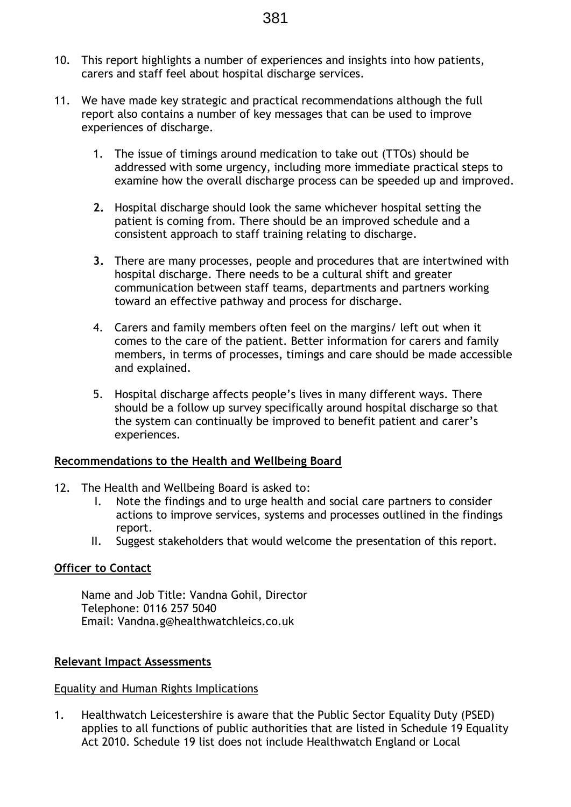- 10. This report highlights a number of experiences and insights into how patients, carers and staff feel about hospital discharge services.
- 11. We have made key strategic and practical recommendations although the full report also contains a number of key messages that can be used to improve experiences of discharge.
	- 1. The issue of timings around medication to take out (TTOs) should be addressed with some urgency, including more immediate practical steps to examine how the overall discharge process can be speeded up and improved.
	- **2.** Hospital discharge should look the same whichever hospital setting the patient is coming from. There should be an improved schedule and a consistent approach to staff training relating to discharge.
	- **3.** There are many processes, people and procedures that are intertwined with hospital discharge. There needs to be a cultural shift and greater communication between staff teams, departments and partners working toward an effective pathway and process for discharge.
	- 4. Carers and family members often feel on the margins/ left out when it comes to the care of the patient. Better information for carers and family members, in terms of processes, timings and care should be made accessible and explained.
	- 5. Hospital discharge affects people's lives in many different ways. There should be a follow up survey specifically around hospital discharge so that the system can continually be improved to benefit patient and carer's experiences.

#### **Recommendations to the Health and Wellbeing Board**

- 12. The Health and Wellbeing Board is asked to:
	- I. Note the findings and to urge health and social care partners to consider actions to improve services, systems and processes outlined in the findings report.
	- II. Suggest stakeholders that would welcome the presentation of this report.

#### **Officer to Contact**

Name and Job Title: Vandna Gohil, Director Telephone: 0116 257 5040 Email: Vandna.g@healthwatchleics.co.uk

#### **Relevant Impact Assessments**

#### Equality and Human Rights Implications

1. Healthwatch Leicestershire is aware that the Public Sector Equality Duty (PSED) applies to all functions of public authorities that are listed in Schedule 19 Equality Act 2010. Schedule 19 list does not include Healthwatch England or Local